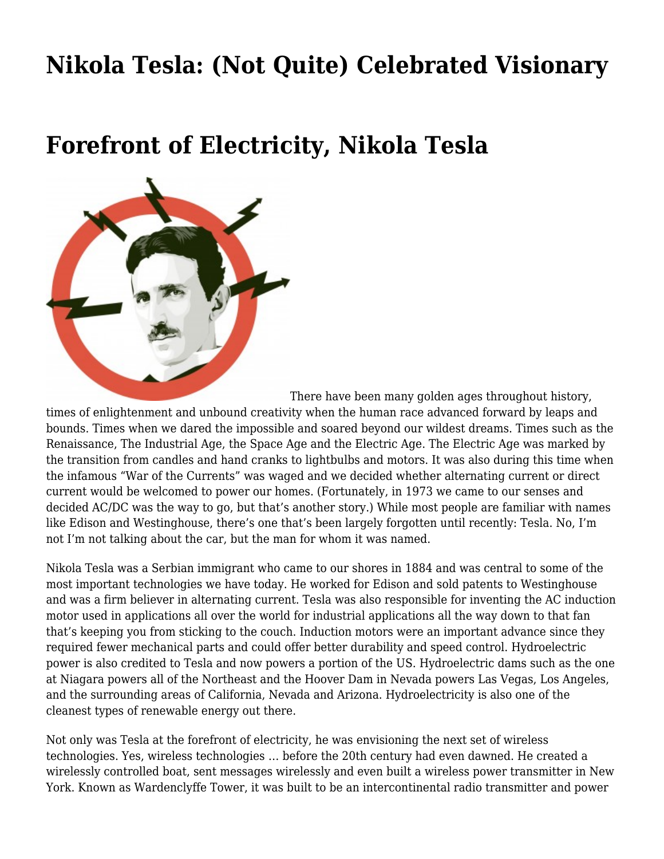## **[Nikola Tesla: \(Not Quite\) Celebrated Visionary](https://motifri.com/nikola-tesla-not-quite-celebrated-visionary/)**

## **Forefront of Electricity, Nikola Tesla**



[T](http://www.motifri.com/wp-content/uploads/2014/07/nikola.jpg)here have been many golden ages throughout history,

times of enlightenment and unbound creativity when the human race advanced forward by leaps and bounds. Times when we dared the impossible and soared beyond our wildest dreams. Times such as the Renaissance, The Industrial Age, the Space Age and the Electric Age. The Electric Age was marked by the transition from candles and hand cranks to lightbulbs and motors. It was also during this time when the infamous "War of the Currents" was waged and we decided whether alternating current or direct current would be welcomed to power our homes. (Fortunately, in 1973 we came to our senses and decided AC/DC was the way to go, but that's another story.) While most people are familiar with names like Edison and Westinghouse, there's one that's been largely forgotten until recently: Tesla. No, I'm not I'm not talking about the car, but the man for whom it was named.

Nikola Tesla was a Serbian immigrant who came to our shores in 1884 and was central to some of the most important technologies we have today. He worked for Edison and sold patents to Westinghouse and was a firm believer in alternating current. Tesla was also responsible for inventing the AC induction motor used in applications all over the world for industrial applications all the way down to that fan that's keeping you from sticking to the couch. Induction motors were an important advance since they required fewer mechanical parts and could offer better durability and speed control. Hydroelectric power is also credited to Tesla and now powers a portion of the US. Hydroelectric dams such as the one at Niagara powers all of the Northeast and the Hoover Dam in Nevada powers Las Vegas, Los Angeles, and the surrounding areas of California, Nevada and Arizona. Hydroelectricity is also one of the cleanest types of renewable energy out there.

Not only was Tesla at the forefront of electricity, he was envisioning the next set of wireless technologies. Yes, wireless technologies … before the 20th century had even dawned. He created a wirelessly controlled boat, sent messages wirelessly and even built a wireless power transmitter in New York. Known as Wardenclyffe Tower, it was built to be an intercontinental radio transmitter and power